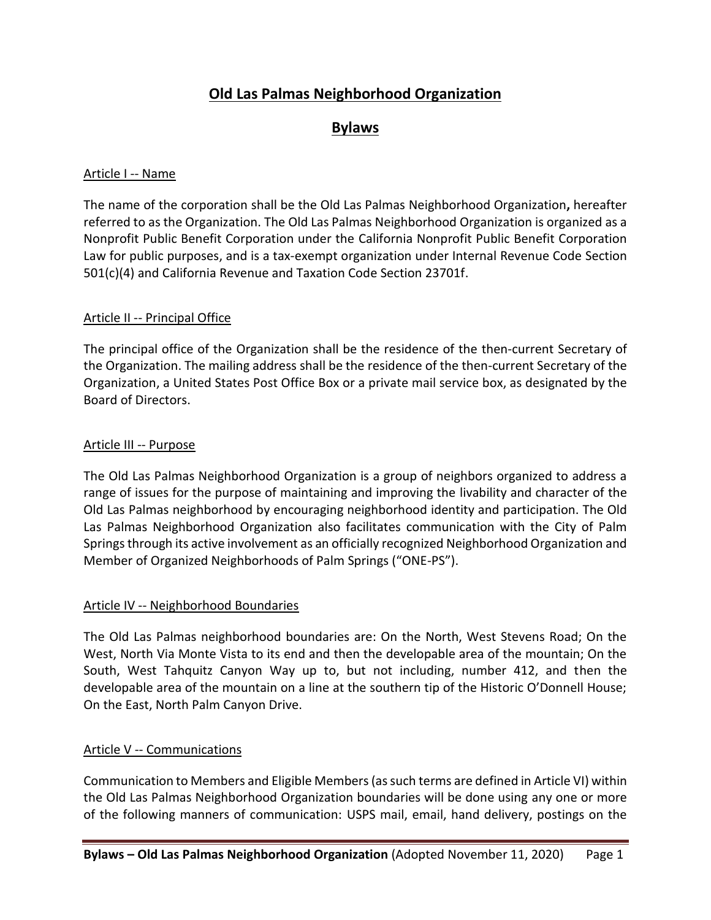# **Old Las Palmas Neighborhood Organization**

# **Bylaws**

#### Article I -- Name

The name of the corporation shall be the Old Las Palmas Neighborhood Organization**,** hereafter referred to as the Organization. The Old Las Palmas Neighborhood Organization is organized as a Nonprofit Public Benefit Corporation under the California Nonprofit Public Benefit Corporation Law for public purposes, and is a tax-exempt organization under Internal Revenue Code Section 501(c)(4) and California Revenue and Taxation Code Section 23701f.

## Article II -- Principal Office

The principal office of the Organization shall be the residence of the then-current Secretary of the Organization. The mailing address shall be the residence of the then-current Secretary of the Organization, a United States Post Office Box or a private mail service box, as designated by the Board of Directors.

#### Article III -- Purpose

The Old Las Palmas Neighborhood Organization is a group of neighbors organized to address a range of issues for the purpose of maintaining and improving the livability and character of the Old Las Palmas neighborhood by encouraging neighborhood identity and participation. The Old Las Palmas Neighborhood Organization also facilitates communication with the City of Palm Springs through its active involvement as an officially recognized Neighborhood Organization and Member of Organized Neighborhoods of Palm Springs ("ONE-PS").

#### Article IV -- Neighborhood Boundaries

The Old Las Palmas neighborhood boundaries are: On the North, West Stevens Road; On the West, North Via Monte Vista to its end and then the developable area of the mountain; On the South, West Tahquitz Canyon Way up to, but not including, number 412, and then the developable area of the mountain on a line at the southern tip of the Historic O'Donnell House; On the East, North Palm Canyon Drive.

# Article V -- Communications

Communication to Members and Eligible Members(as such terms are defined in Article VI) within the Old Las Palmas Neighborhood Organization boundaries will be done using any one or more of the following manners of communication: USPS mail, email, hand delivery, postings on the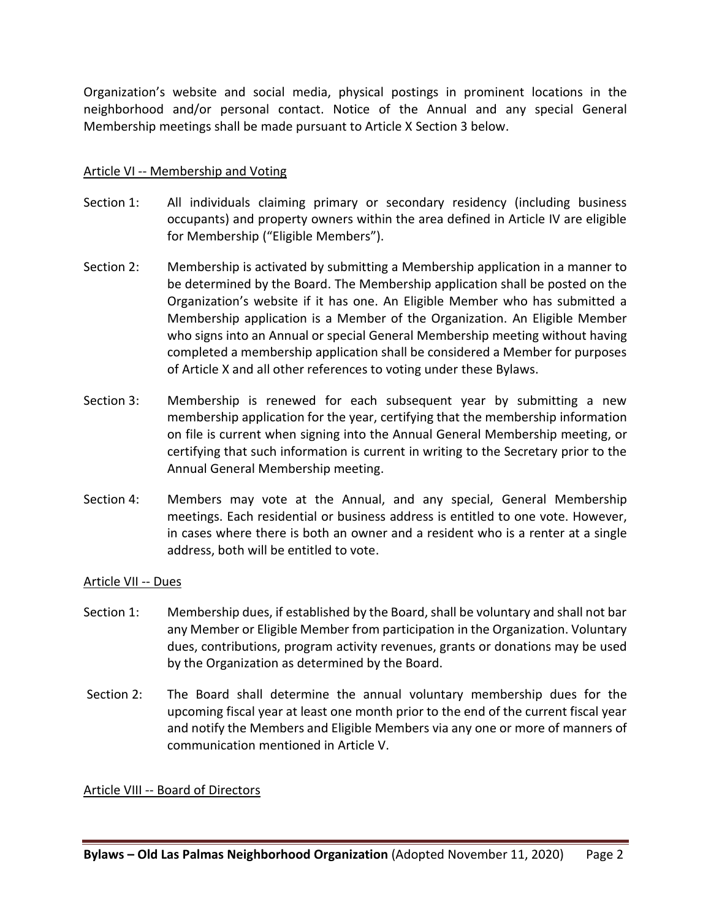Organization's website and social media, physical postings in prominent locations in the neighborhood and/or personal contact. Notice of the Annual and any special General Membership meetings shall be made pursuant to Article X Section 3 below.

#### Article VI -- Membership and Voting

- Section 1: All individuals claiming primary or secondary residency (including business occupants) and property owners within the area defined in Article IV are eligible for Membership ("Eligible Members").
- Section 2: Membership is activated by submitting a Membership application in a manner to be determined by the Board. The Membership application shall be posted on the Organization's website if it has one. An Eligible Member who has submitted a Membership application is a Member of the Organization. An Eligible Member who signs into an Annual or special General Membership meeting without having completed a membership application shall be considered a Member for purposes of Article X and all other references to voting under these Bylaws.
- Section 3: Membership is renewed for each subsequent year by submitting a new membership application for the year, certifying that the membership information on file is current when signing into the Annual General Membership meeting, or certifying that such information is current in writing to the Secretary prior to the Annual General Membership meeting.
- Section 4: Members may vote at the Annual, and any special, General Membership meetings. Each residential or business address is entitled to one vote. However, in cases where there is both an owner and a resident who is a renter at a single address, both will be entitled to vote.

#### Article VII -- Dues

- Section 1: Membership dues, if established by the Board, shall be voluntary and shall not bar any Member or Eligible Member from participation in the Organization. Voluntary dues, contributions, program activity revenues, grants or donations may be used by the Organization as determined by the Board.
- Section 2: The Board shall determine the annual voluntary membership dues for the upcoming fiscal year at least one month prior to the end of the current fiscal year and notify the Members and Eligible Members via any one or more of manners of communication mentioned in Article V.

#### Article VIII -- Board of Directors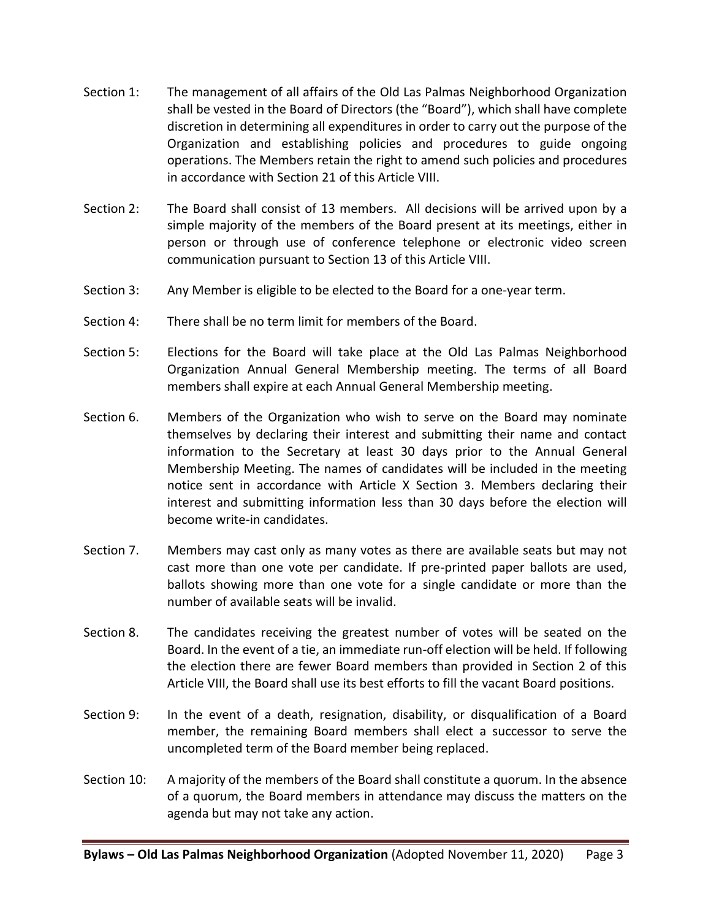- Section 1: The management of all affairs of the Old Las Palmas Neighborhood Organization shall be vested in the Board of Directors (the "Board"), which shall have complete discretion in determining all expenditures in order to carry out the purpose of the Organization and establishing policies and procedures to guide ongoing operations. The Members retain the right to amend such policies and procedures in accordance with Section 21 of this Article VIII.
- Section 2: The Board shall consist of 13 members. All decisions will be arrived upon by a simple majority of the members of the Board present at its meetings, either in person or through use of conference telephone or electronic video screen communication pursuant to Section 13 of this Article VIII.
- Section 3: Any Member is eligible to be elected to the Board for a one-year term.
- Section 4: There shall be no term limit for members of the Board.
- Section 5: Elections for the Board will take place at the Old Las Palmas Neighborhood Organization Annual General Membership meeting. The terms of all Board members shall expire at each Annual General Membership meeting.
- Section 6. Members of the Organization who wish to serve on the Board may nominate themselves by declaring their interest and submitting their name and contact information to the Secretary at least 30 days prior to the Annual General Membership Meeting. The names of candidates will be included in the meeting notice sent in accordance with Article X Section 3. Members declaring their interest and submitting information less than 30 days before the election will become write-in candidates.
- Section 7. Members may cast only as many votes as there are available seats but may not cast more than one vote per candidate. If pre-printed paper ballots are used, ballots showing more than one vote for a single candidate or more than the number of available seats will be invalid.
- Section 8. The candidates receiving the greatest number of votes will be seated on the Board. In the event of a tie, an immediate run-off election will be held. If following the election there are fewer Board members than provided in Section 2 of this Article VIII, the Board shall use its best efforts to fill the vacant Board positions.
- Section 9: In the event of a death, resignation, disability, or disqualification of a Board member, the remaining Board members shall elect a successor to serve the uncompleted term of the Board member being replaced.
- Section 10: A majority of the members of the Board shall constitute a quorum. In the absence of a quorum, the Board members in attendance may discuss the matters on the agenda but may not take any action.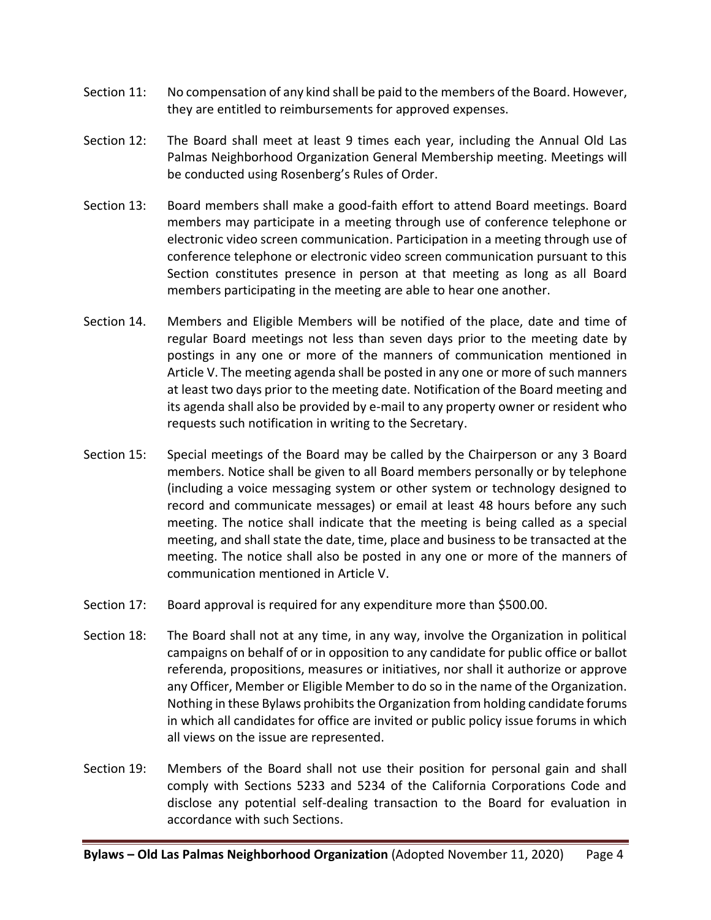- Section 11: No compensation of any kind shall be paid to the members of the Board. However, they are entitled to reimbursements for approved expenses.
- Section 12: The Board shall meet at least 9 times each year, including the Annual Old Las Palmas Neighborhood Organization General Membership meeting. Meetings will be conducted using Rosenberg's Rules of Order.
- Section 13: Board members shall make a good-faith effort to attend Board meetings. Board members may participate in a meeting through use of conference telephone or electronic video screen communication. Participation in a meeting through use of conference telephone or electronic video screen communication pursuant to this Section constitutes presence in person at that meeting as long as all Board members participating in the meeting are able to hear one another.
- Section 14. Members and Eligible Members will be notified of the place, date and time of regular Board meetings not less than seven days prior to the meeting date by postings in any one or more of the manners of communication mentioned in Article V. The meeting agenda shall be posted in any one or more of such manners at least two days prior to the meeting date. Notification of the Board meeting and its agenda shall also be provided by e-mail to any property owner or resident who requests such notification in writing to the Secretary.
- Section 15: Special meetings of the Board may be called by the Chairperson or any 3 Board members. Notice shall be given to all Board members personally or by telephone (including a voice messaging system or other system or technology designed to record and communicate messages) or email at least 48 hours before any such meeting. The notice shall indicate that the meeting is being called as a special meeting, and shall state the date, time, place and business to be transacted at the meeting. The notice shall also be posted in any one or more of the manners of communication mentioned in Article V.
- Section 17: Board approval is required for any expenditure more than \$500.00.
- Section 18: The Board shall not at any time, in any way, involve the Organization in political campaigns on behalf of or in opposition to any candidate for public office or ballot referenda, propositions, measures or initiatives, nor shall it authorize or approve any Officer, Member or Eligible Member to do so in the name of the Organization. Nothing in these Bylaws prohibits the Organization from holding candidate forums in which all candidates for office are invited or public policy issue forums in which all views on the issue are represented.
- Section 19: Members of the Board shall not use their position for personal gain and shall comply with Sections 5233 and 5234 of the California Corporations Code and disclose any potential self-dealing transaction to the Board for evaluation in accordance with such Sections.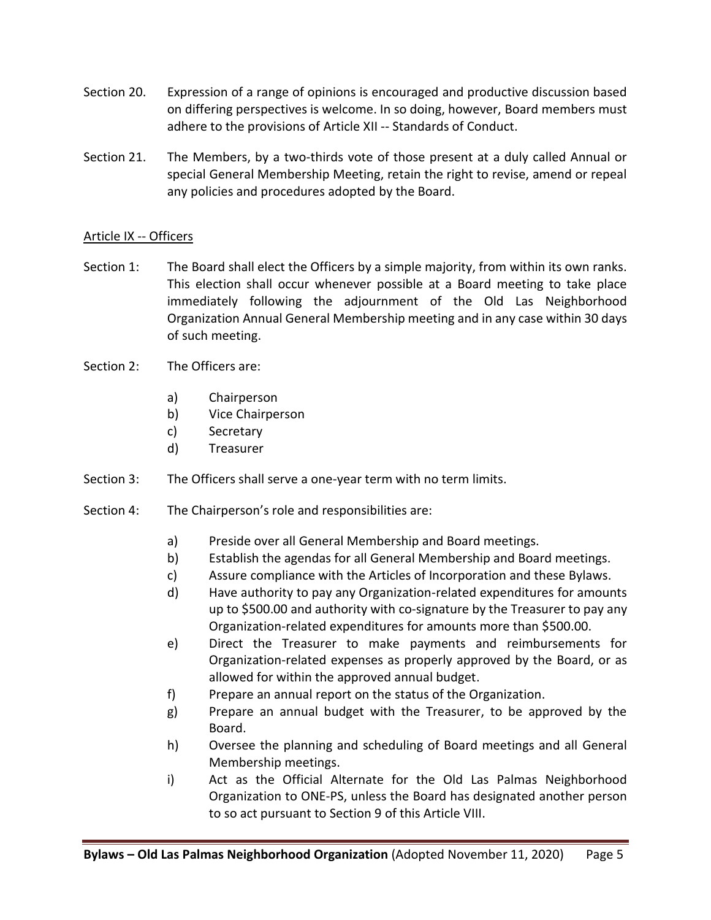- Section 20. Expression of a range of opinions is encouraged and productive discussion based on differing perspectives is welcome. In so doing, however, Board members must adhere to the provisions of Article XII -- Standards of Conduct.
- Section 21. The Members, by a two-thirds vote of those present at a duly called Annual or special General Membership Meeting, retain the right to revise, amend or repeal any policies and procedures adopted by the Board.

# Article IX -- Officers

- Section 1: The Board shall elect the Officers by a simple majority, from within its own ranks. This election shall occur whenever possible at a Board meeting to take place immediately following the adjournment of the Old Las Neighborhood Organization Annual General Membership meeting and in any case within 30 days of such meeting.
- Section 2: The Officers are:
	- a) Chairperson
	- b) Vice Chairperson
	- c) Secretary
	- d) Treasurer
- Section 3: The Officers shall serve a one-year term with no term limits.
- Section 4: The Chairperson's role and responsibilities are:
	- a) Preside over all General Membership and Board meetings.
	- b) Establish the agendas for all General Membership and Board meetings.
	- c) Assure compliance with the Articles of Incorporation and these Bylaws.
	- d) Have authority to pay any Organization-related expenditures for amounts up to \$500.00 and authority with co-signature by the Treasurer to pay any Organization-related expenditures for amounts more than \$500.00.
	- e) Direct the Treasurer to make payments and reimbursements for Organization-related expenses as properly approved by the Board, or as allowed for within the approved annual budget.
	- f) Prepare an annual report on the status of the Organization.
	- g) Prepare an annual budget with the Treasurer, to be approved by the Board.
	- h) Oversee the planning and scheduling of Board meetings and all General Membership meetings.
	- i) Act as the Official Alternate for the Old Las Palmas Neighborhood Organization to ONE-PS, unless the Board has designated another person to so act pursuant to Section 9 of this Article VIII.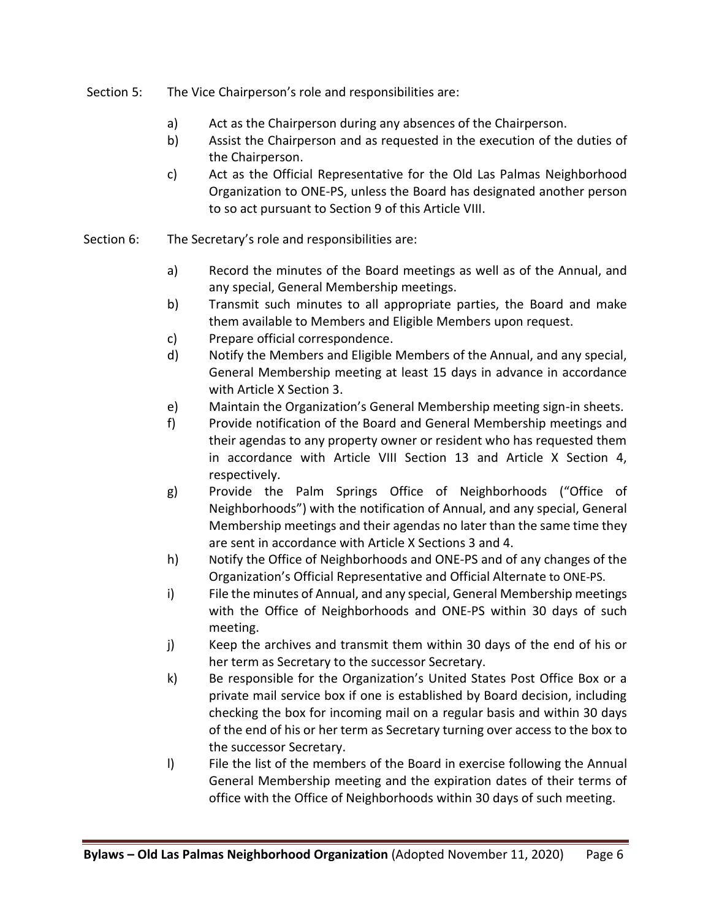- Section 5: The Vice Chairperson's role and responsibilities are:
	- a) Act as the Chairperson during any absences of the Chairperson.
	- b) Assist the Chairperson and as requested in the execution of the duties of the Chairperson.
	- c) Act as the Official Representative for the Old Las Palmas Neighborhood Organization to ONE-PS, unless the Board has designated another person to so act pursuant to Section 9 of this Article VIII.
- Section 6: The Secretary's role and responsibilities are:
	- a) Record the minutes of the Board meetings as well as of the Annual, and any special, General Membership meetings.
	- b) Transmit such minutes to all appropriate parties, the Board and make them available to Members and Eligible Members upon request.
	- c) Prepare official correspondence.
	- d) Notify the Members and Eligible Members of the Annual, and any special, General Membership meeting at least 15 days in advance in accordance with Article X Section 3.
	- e) Maintain the Organization's General Membership meeting sign-in sheets.
	- f) Provide notification of the Board and General Membership meetings and their agendas to any property owner or resident who has requested them in accordance with Article VIII Section 13 and Article X Section 4, respectively.
	- g) Provide the Palm Springs Office of Neighborhoods ("Office of Neighborhoods") with the notification of Annual, and any special, General Membership meetings and their agendas no later than the same time they are sent in accordance with Article X Sections 3 and 4.
	- h) Notify the Office of Neighborhoods and ONE-PS and of any changes of the Organization's Official Representative and Official Alternate to ONE-PS.
	- i) File the minutes of Annual, and any special, General Membership meetings with the Office of Neighborhoods and ONE-PS within 30 days of such meeting.
	- j) Keep the archives and transmit them within 30 days of the end of his or her term as Secretary to the successor Secretary.
	- k) Be responsible for the Organization's United States Post Office Box or a private mail service box if one is established by Board decision, including checking the box for incoming mail on a regular basis and within 30 days of the end of his or her term as Secretary turning over access to the box to the successor Secretary.
	- l) File the list of the members of the Board in exercise following the Annual General Membership meeting and the expiration dates of their terms of office with the Office of Neighborhoods within 30 days of such meeting.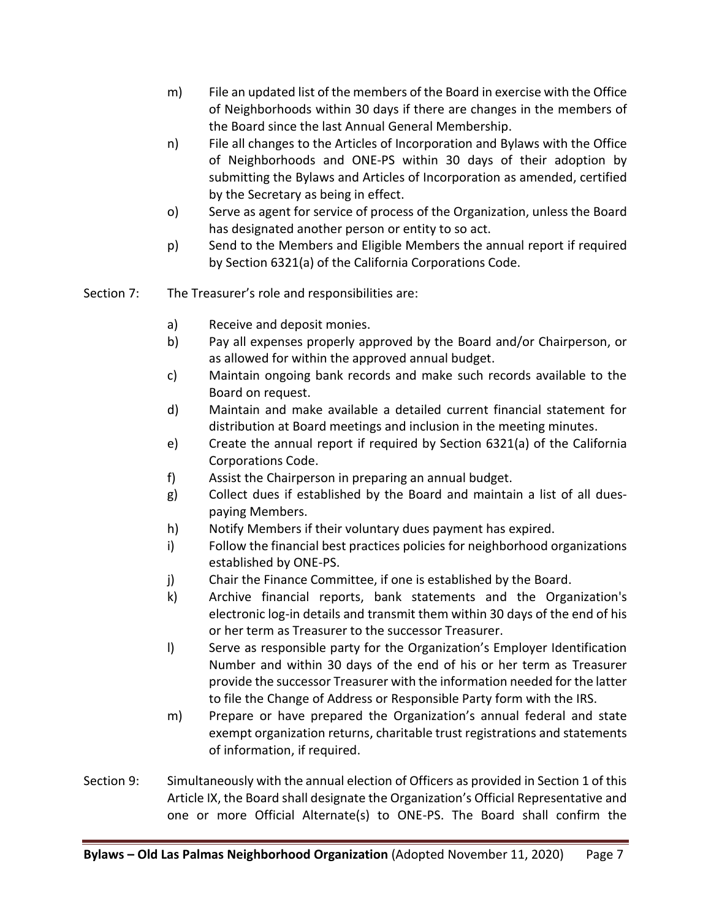- m) File an updated list of the members of the Board in exercise with the Office of Neighborhoods within 30 days if there are changes in the members of the Board since the last Annual General Membership.
- n) File all changes to the Articles of Incorporation and Bylaws with the Office of Neighborhoods and ONE-PS within 30 days of their adoption by submitting the Bylaws and Articles of Incorporation as amended, certified by the Secretary as being in effect.
- o) Serve as agent for service of process of the Organization, unless the Board has designated another person or entity to so act.
- p) Send to the Members and Eligible Members the annual report if required by Section 6321(a) of the California Corporations Code.
- Section 7: The Treasurer's role and responsibilities are:
	- a) Receive and deposit monies.
	- b) Pay all expenses properly approved by the Board and/or Chairperson, or as allowed for within the approved annual budget.
	- c) Maintain ongoing bank records and make such records available to the Board on request.
	- d) Maintain and make available a detailed current financial statement for distribution at Board meetings and inclusion in the meeting minutes.
	- e) Create the annual report if required by Section 6321(a) of the California Corporations Code.
	- f) Assist the Chairperson in preparing an annual budget.
	- g) Collect dues if established by the Board and maintain a list of all duespaying Members.
	- h) Notify Members if their voluntary dues payment has expired.
	- i) Follow the financial best practices policies for neighborhood organizations established by ONE-PS.
	- j) Chair the Finance Committee, if one is established by the Board.
	- k) Archive financial reports, bank statements and the Organization's electronic log-in details and transmit them within 30 days of the end of his or her term as Treasurer to the successor Treasurer.
	- l) Serve as responsible party for the Organization's Employer Identification Number and within 30 days of the end of his or her term as Treasurer provide the successor Treasurer with the information needed for the latter to file the Change of Address or Responsible Party form with the IRS.
	- m) Prepare or have prepared the Organization's annual federal and state exempt organization returns, charitable trust registrations and statements of information, if required.
- Section 9: Simultaneously with the annual election of Officers as provided in Section 1 of this Article IX, the Board shall designate the Organization's Official Representative and one or more Official Alternate(s) to ONE-PS. The Board shall confirm the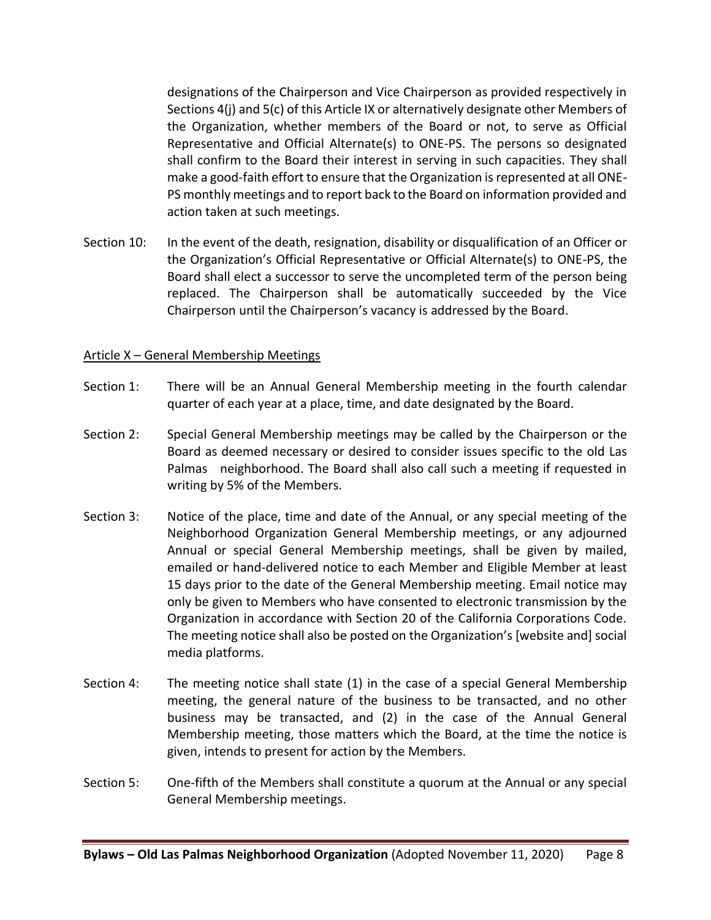designations of the Chairperson and Vice Chairperson as provided respectively in Sections 4(j) and 5(c) of this Article IX or alternatively designate other Members of the Organization, whether members of the Board or not, to serve as Official Representative and Official Alternate(s) to ONE-PS. The persons so designated shall confirm to the Board their interest in serving in such capacities. They shall make a good-faith effort to ensure that the Organization is represented at all ONE-PS monthly meetings and to report back to the Board on information provided and action taken at such meetings.

Section 10: In the event of the death, resignation, disability or disqualification of an Officer or the Organization's Official Representative or Official Alternate(s) to ONE-PS, the Board shall elect a successor to serve the uncompleted term of the person being replaced. The Chairperson shall be automatically succeeded by the Vice Chairperson until the Chairperson's vacancy is addressed by the Board.

#### Article X – General Membership Meetings

- Section 1: There will be an Annual General Membership meeting in the fourth calendar quarter of each year at a place, time, and date designated by the Board.
- Section 2: Special General Membership meetings may be called by the Chairperson or the Board as deemed necessary or desired to consider issues specific to the old Las Palmas neighborhood. The Board shall also call such a meeting if requested in writing by 5% of the Members.
- Section 3: Notice of the place, time and date of the Annual, or any special meeting of the Neighborhood Organization General Membership meetings, or any adjourned Annual or special General Membership meetings, shall be given by mailed, emailed or hand-delivered notice to each Member and Eligible Member at least 15 days prior to the date of the General Membership meeting. Email notice may only be given to Members who have consented to electronic transmission by the Organization in accordance with Section 20 of the California Corporations Code. The meeting notice shall also be posted on the Organization's [website and] social media platforms.
- Section 4: The meeting notice shall state (1) in the case of a special General Membership meeting, the general nature of the business to be transacted, and no other business may be transacted, and (2) in the case of the Annual General Membership meeting, those matters which the Board, at the time the notice is given, intends to present for action by the Members.
- Section 5: One-fifth of the Members shall constitute a quorum at the Annual or any special General Membership meetings.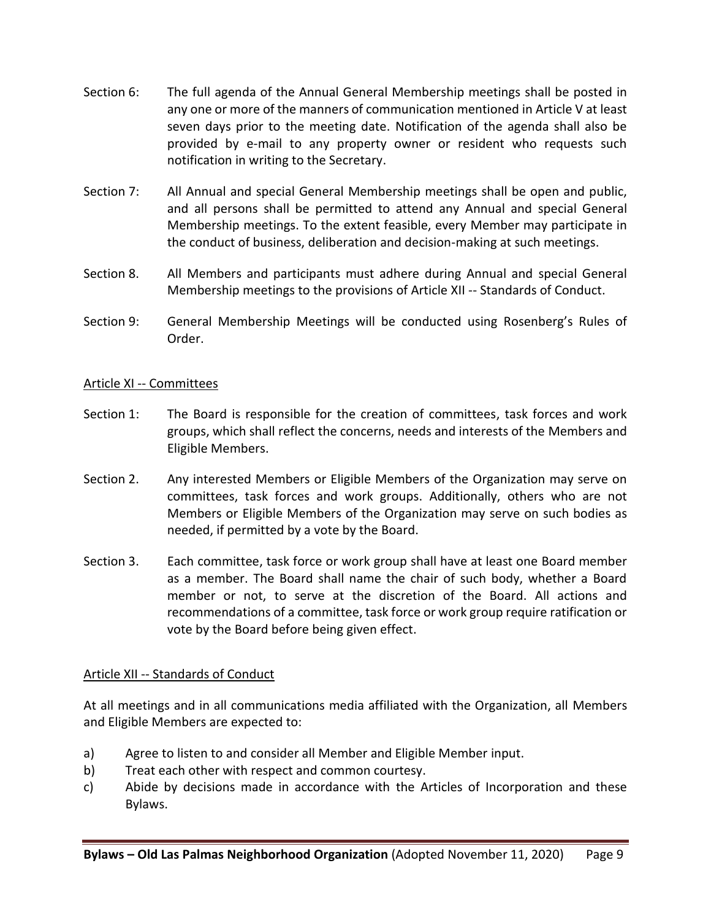- Section 6: The full agenda of the Annual General Membership meetings shall be posted in any one or more of the manners of communication mentioned in Article V at least seven days prior to the meeting date. Notification of the agenda shall also be provided by e-mail to any property owner or resident who requests such notification in writing to the Secretary.
- Section 7: All Annual and special General Membership meetings shall be open and public, and all persons shall be permitted to attend any Annual and special General Membership meetings. To the extent feasible, every Member may participate in the conduct of business, deliberation and decision-making at such meetings.
- Section 8. All Members and participants must adhere during Annual and special General Membership meetings to the provisions of Article XII -- Standards of Conduct.
- Section 9: General Membership Meetings will be conducted using Rosenberg's Rules of Order.

## Article XI -- Committees

- Section 1: The Board is responsible for the creation of committees, task forces and work groups, which shall reflect the concerns, needs and interests of the Members and Eligible Members.
- Section 2. Any interested Members or Eligible Members of the Organization may serve on committees, task forces and work groups. Additionally, others who are not Members or Eligible Members of the Organization may serve on such bodies as needed, if permitted by a vote by the Board.
- Section 3. Each committee, task force or work group shall have at least one Board member as a member. The Board shall name the chair of such body, whether a Board member or not, to serve at the discretion of the Board. All actions and recommendations of a committee, task force or work group require ratification or vote by the Board before being given effect.

# Article XII -- Standards of Conduct

At all meetings and in all communications media affiliated with the Organization, all Members and Eligible Members are expected to:

- a) Agree to listen to and consider all Member and Eligible Member input.
- b) Treat each other with respect and common courtesy.
- c) Abide by decisions made in accordance with the Articles of Incorporation and these Bylaws.